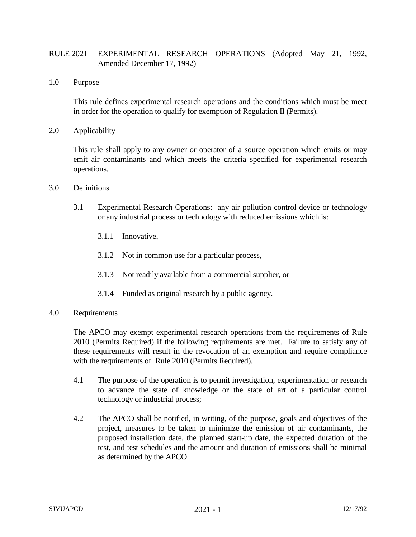## RULE 2021 EXPERIMENTAL RESEARCH OPERATIONS (Adopted May 21, 1992, Amended December 17, 1992)

1.0 Purpose

This rule defines experimental research operations and the conditions which must be meet in order for the operation to qualify for exemption of Regulation II (Permits).

2.0 Applicability

This rule shall apply to any owner or operator of a source operation which emits or may emit air contaminants and which meets the criteria specified for experimental research operations.

- 3.0 Definitions
	- 3.1 Experimental Research Operations: any air pollution control device or technology or any industrial process or technology with reduced emissions which is:
		- 3.1.1 Innovative,
		- 3.1.2 Not in common use for a particular process,
		- 3.1.3 Not readily available from a commercial supplier, or
		- 3.1.4 Funded as original research by a public agency.
- 4.0 Requirements

The APCO may exempt experimental research operations from the requirements of Rule 2010 (Permits Required) if the following requirements are met. Failure to satisfy any of these requirements will result in the revocation of an exemption and require compliance with the requirements of Rule 2010 (Permits Required).

- 4.1 The purpose of the operation is to permit investigation, experimentation or research to advance the state of knowledge or the state of art of a particular control technology or industrial process;
- 4.2 The APCO shall be notified, in writing, of the purpose, goals and objectives of the project, measures to be taken to minimize the emission of air contaminants, the proposed installation date, the planned start-up date, the expected duration of the test, and test schedules and the amount and duration of emissions shall be minimal as determined by the APCO.